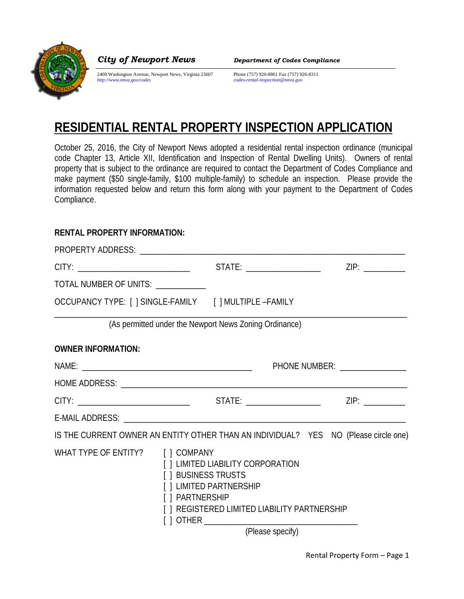

*City of Newport News Department of Codes Compliance*

2400 Washington Avenue, Newport News, Virginia 23607 Phone (757) 926-8861 Fax (757) 926-8311<br>
http://www.nnva.gov/codes<br>
ecodes-rental-inspection@nnva.gov

*http://www.nnva.gov/codes codes-rental-inspection@nnva.gov*

## **RESIDENTIAL RENTAL PROPERTY INSPECTION APPLICATION**

October 25, 2016, the City of Newport News adopted a residential rental inspection ordinance (municipal code Chapter 13, Article XII, Identification and Inspection of Rental Dwelling Units). Owners of rental property that is subject to the ordinance are required to contact the Department of Codes Compliance and make payment (\$50 single-family, \$100 multiple-family) to schedule an inspection. Please provide the information requested below and return this form along with your payment to the Department of Codes Compliance.

## **RENTAL PROPERTY INFORMATION:**

| PHONE NUMBER: ________________ |  |                                                                                                                                                                                                                                                                |                                                                                                                                                                                                                                |
|--------------------------------|--|----------------------------------------------------------------------------------------------------------------------------------------------------------------------------------------------------------------------------------------------------------------|--------------------------------------------------------------------------------------------------------------------------------------------------------------------------------------------------------------------------------|
|                                |  |                                                                                                                                                                                                                                                                |                                                                                                                                                                                                                                |
|                                |  |                                                                                                                                                                                                                                                                |                                                                                                                                                                                                                                |
|                                |  |                                                                                                                                                                                                                                                                |                                                                                                                                                                                                                                |
|                                |  |                                                                                                                                                                                                                                                                |                                                                                                                                                                                                                                |
|                                |  |                                                                                                                                                                                                                                                                |                                                                                                                                                                                                                                |
|                                |  | TOTAL NUMBER OF UNITS: ___________<br>OCCUPANCY TYPE: [ ] SINGLE-FAMILY [ ] MULTIPLE -FAMILY<br>WHAT TYPE OF ENTITY? [ ] COMPANY<br>[ ] LIMITED LIABILITY CORPORATION<br>[ ] BUSINESS TRUSTS<br>[ ] LIMITED PARTNERSHIP<br>[ ] PARTNERSHIP<br>(Please specify) | STATE: ______________________<br>(As permitted under the Newport News Zoning Ordinance)<br>IS THE CURRENT OWNER AN ENTITY OTHER THAN AN INDIVIDUAL? YES NO (Please circle one)<br>[ ] REGISTERED LIMITED LIABILITY PARTNERSHIP |